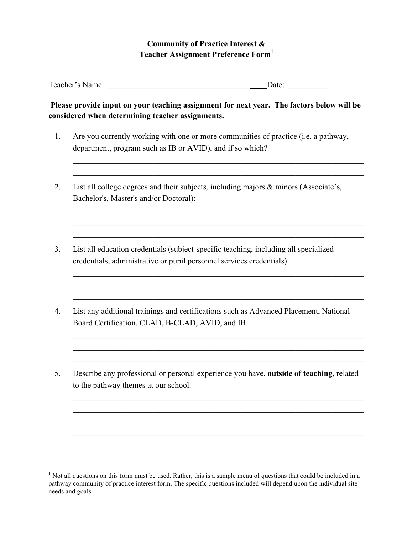## **Community of Practice Interest & Teacher Assignment Preference Form<sup>1</sup>**

Teacher's Name: \_\_\_\_\_\_\_\_\_\_\_\_\_\_\_\_\_\_\_\_\_\_\_\_\_\_\_\_\_\_\_\_\_\_\_ Date: \_\_\_\_\_\_\_\_\_\_

## **Please provide input on your teaching assignment for next year. The factors below will be considered when determining teacher assignments.**

1. Are you currently working with one or more communities of practice (i.e. a pathway, department, program such as IB or AVID), and if so which?

 $\mathcal{L}_\text{max}$  , and the contribution of the contribution of the contribution of the contribution of the contribution of the contribution of the contribution of the contribution of the contribution of the contribution of t  $\mathcal{L}_\text{max}$  , and the contribution of the contribution of the contribution of the contribution of the contribution of the contribution of the contribution of the contribution of the contribution of the contribution of t

 $\mathcal{L}_\text{max} = \mathcal{L}_\text{max} = \mathcal{L}_\text{max} = \mathcal{L}_\text{max} = \mathcal{L}_\text{max} = \mathcal{L}_\text{max} = \mathcal{L}_\text{max} = \mathcal{L}_\text{max} = \mathcal{L}_\text{max} = \mathcal{L}_\text{max} = \mathcal{L}_\text{max} = \mathcal{L}_\text{max} = \mathcal{L}_\text{max} = \mathcal{L}_\text{max} = \mathcal{L}_\text{max} = \mathcal{L}_\text{max} = \mathcal{L}_\text{max} = \mathcal{L}_\text{max} = \mathcal{$  $\mathcal{L}_\text{max} = \mathcal{L}_\text{max} = \mathcal{L}_\text{max} = \mathcal{L}_\text{max} = \mathcal{L}_\text{max} = \mathcal{L}_\text{max} = \mathcal{L}_\text{max} = \mathcal{L}_\text{max} = \mathcal{L}_\text{max} = \mathcal{L}_\text{max} = \mathcal{L}_\text{max} = \mathcal{L}_\text{max} = \mathcal{L}_\text{max} = \mathcal{L}_\text{max} = \mathcal{L}_\text{max} = \mathcal{L}_\text{max} = \mathcal{L}_\text{max} = \mathcal{L}_\text{max} = \mathcal{$  $\mathcal{L}_\text{max}$  , and the contribution of the contribution of the contribution of the contribution of the contribution of the contribution of the contribution of the contribution of the contribution of the contribution of t

 $\mathcal{L}_\text{max}$  , and the contribution of the contribution of the contribution of the contribution of the contribution of the contribution of the contribution of the contribution of the contribution of the contribution of t  $\mathcal{L}_\text{max}$  , and the contribution of the contribution of the contribution of the contribution of the contribution of the contribution of the contribution of the contribution of the contribution of the contribution of t  $\mathcal{L}_\text{max} = \mathcal{L}_\text{max} = \mathcal{L}_\text{max} = \mathcal{L}_\text{max} = \mathcal{L}_\text{max} = \mathcal{L}_\text{max} = \mathcal{L}_\text{max} = \mathcal{L}_\text{max} = \mathcal{L}_\text{max} = \mathcal{L}_\text{max} = \mathcal{L}_\text{max} = \mathcal{L}_\text{max} = \mathcal{L}_\text{max} = \mathcal{L}_\text{max} = \mathcal{L}_\text{max} = \mathcal{L}_\text{max} = \mathcal{L}_\text{max} = \mathcal{L}_\text{max} = \mathcal{$ 

 $\mathcal{L}_\text{max}$  , and the contribution of the contribution of the contribution of the contribution of the contribution of the contribution of the contribution of the contribution of the contribution of the contribution of t  $\mathcal{L}_\text{max}$  , and the contribution of the contribution of the contribution of the contribution of the contribution of the contribution of the contribution of the contribution of the contribution of the contribution of t  $\mathcal{L}_\text{max}$  , and the contribution of the contribution of the contribution of the contribution of the contribution of the contribution of the contribution of the contribution of the contribution of the contribution of t

 $\mathcal{L}_\text{max} = \mathcal{L}_\text{max} = \mathcal{L}_\text{max} = \mathcal{L}_\text{max} = \mathcal{L}_\text{max} = \mathcal{L}_\text{max} = \mathcal{L}_\text{max} = \mathcal{L}_\text{max} = \mathcal{L}_\text{max} = \mathcal{L}_\text{max} = \mathcal{L}_\text{max} = \mathcal{L}_\text{max} = \mathcal{L}_\text{max} = \mathcal{L}_\text{max} = \mathcal{L}_\text{max} = \mathcal{L}_\text{max} = \mathcal{L}_\text{max} = \mathcal{L}_\text{max} = \mathcal{$  $\mathcal{L}_\text{max} = \mathcal{L}_\text{max} = \mathcal{L}_\text{max} = \mathcal{L}_\text{max} = \mathcal{L}_\text{max} = \mathcal{L}_\text{max} = \mathcal{L}_\text{max} = \mathcal{L}_\text{max} = \mathcal{L}_\text{max} = \mathcal{L}_\text{max} = \mathcal{L}_\text{max} = \mathcal{L}_\text{max} = \mathcal{L}_\text{max} = \mathcal{L}_\text{max} = \mathcal{L}_\text{max} = \mathcal{L}_\text{max} = \mathcal{L}_\text{max} = \mathcal{L}_\text{max} = \mathcal{$  $\mathcal{L}_\text{max} = \mathcal{L}_\text{max} = \mathcal{L}_\text{max} = \mathcal{L}_\text{max} = \mathcal{L}_\text{max} = \mathcal{L}_\text{max} = \mathcal{L}_\text{max} = \mathcal{L}_\text{max} = \mathcal{L}_\text{max} = \mathcal{L}_\text{max} = \mathcal{L}_\text{max} = \mathcal{L}_\text{max} = \mathcal{L}_\text{max} = \mathcal{L}_\text{max} = \mathcal{L}_\text{max} = \mathcal{L}_\text{max} = \mathcal{L}_\text{max} = \mathcal{L}_\text{max} = \mathcal{$  $\mathcal{L}_\text{max}$  , and the contribution of the contribution of the contribution of the contribution of the contribution of the contribution of the contribution of the contribution of the contribution of the contribution of t  $\mathcal{L}_\text{max}$  , and the contribution of the contribution of the contribution of the contribution of the contribution of the contribution of the contribution of the contribution of the contribution of the contribution of t  $\mathcal{L}_\text{max}$  , and the contribution of the contribution of the contribution of the contribution of the contribution of the contribution of the contribution of the contribution of the contribution of the contribution of t

- 2. List all college degrees and their subjects, including majors & minors (Associate's, Bachelor's, Master's and/or Doctoral):
- 3. List all education credentials (subject-specific teaching, including all specialized credentials, administrative or pupil personnel services credentials):
- 4. List any additional trainings and certifications such as Advanced Placement, National Board Certification, CLAD, B-CLAD, AVID, and IB.
- 5. Describe any professional or personal experience you have, **outside of teaching,** related to the pathway themes at our school.

<sup>&</sup>lt;sup>1</sup> Not all questions on this form must be used. Rather, this is a sample menu of questions that could be included in a pathway community of practice interest form. The specific questions included will depend upon the individual site needs and goals.